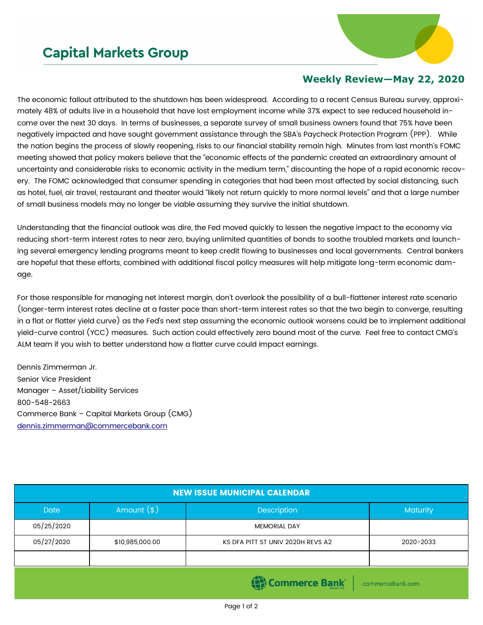## **Capital Markets Group**



## **Weekly Review—May 22, 2020**

The economic fallout attributed to the shutdown has been widespread. According to a recent Census Bureau survey, approximately 48% of adults live in a household that have lost employment income while 37% expect to see reduced household income over the next 30 days. In terms of businesses, a separate survey of small business owners found that 75% have been negatively impacted and have sought government assistance through the SBA's Paycheck Protection Program (PPP). While the nation begins the process of slowly reopening, risks to our financial stability remain high. Minutes from last month's FOMC meeting showed that policy makers believe that the "economic effects of the pandemic created an extraordinary amount of uncertainty and considerable risks to economic activity in the medium term," discounting the hope of a rapid economic recovery. The FOMC acknowledged that consumer spending in categories that had been most affected by social distancing, such as hotel, fuel, air travel, restaurant and theater would "likely not return quickly to more normal levels" and that a large number of small business models may no longer be viable assuming they survive the initial shutdown.

Understanding that the financial outlook was dire, the Fed moved quickly to lessen the negative impact to the economy via reducing short-term interest rates to near zero, buying unlimited quantities of bonds to soothe troubled markets and launching several emergency lending programs meant to keep credit flowing to businesses and local governments. Central bankers are hopeful that these efforts, combined with additional fiscal policy measures will help mitigate long-term economic damage.

For those responsible for managing net interest margin, don't overlook the possibility of a bull-flattener interest rate scenario (longer-term interest rates decline at a faster pace than short-term interest rates so that the two begin to converge, resulting in a flat or flatter yield curve) as the Fed's next step assuming the economic outlook worsens could be to implement additional yield-curve control (YCC) measures. Such action could effectively zero bound most of the curve. Feel free to contact CMG's ALM team if you wish to better understand how a flatter curve could impact earnings.

Dennis Zimmerman Jr. Senior Vice President Manager – Asset/Liability Services 800-548-2663 Commerce Bank – Capital Markets Group (CMG) [dennis.zimmerman@commercebank.com](mailto:Dennis.Zimmerman@commercebank.com)

| <b>NEW ISSUE MUNICIPAL CALENDAR</b>      |                 |                                   |                 |  |  |
|------------------------------------------|-----------------|-----------------------------------|-----------------|--|--|
| <b>Date</b>                              | Amount $(*)$    | Description                       | <b>Maturity</b> |  |  |
| 05/25/2020                               |                 | <b>MEMORIAL DAY</b>               |                 |  |  |
| 05/27/2020                               | \$10,985,000.00 | KS DFA PITT ST UNIV 2020H REVS A2 | 2020-2033       |  |  |
|                                          |                 |                                   |                 |  |  |
| <b>Commerce Bank</b><br>commercebank.com |                 |                                   |                 |  |  |